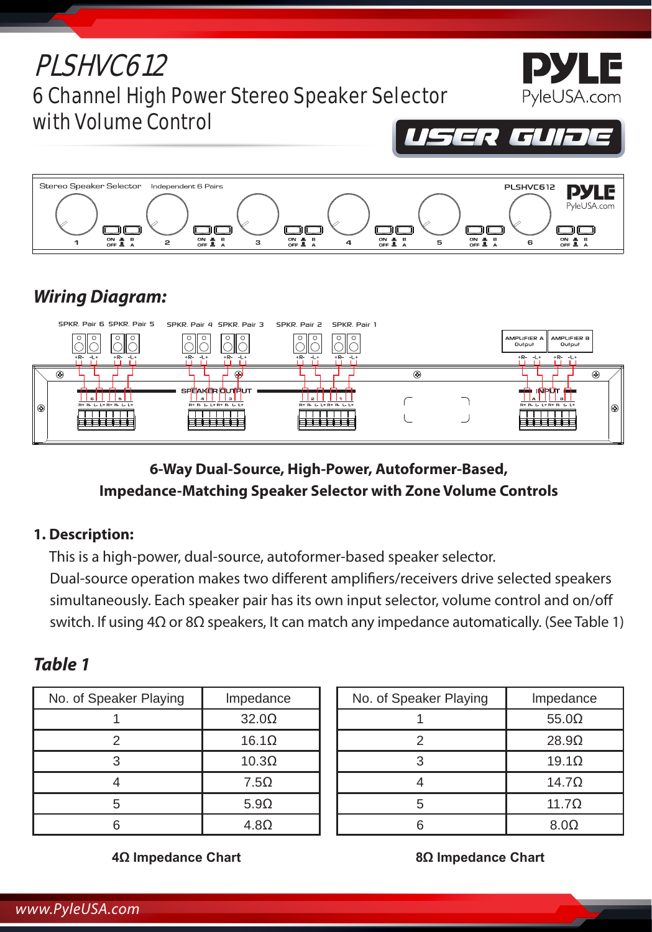



# *Wiring Diagram:*

|         | SPKR. Pair 6 SPKR. Pair 5                | SPKR, Pair 4, SPKR, Pair 3 – SPKR, Pair 2 – SPKR, Pair 1 |                          |   |                                             |
|---------|------------------------------------------|----------------------------------------------------------|--------------------------|---|---------------------------------------------|
|         | $\circ$<br>$\circ$<br>$\circ$<br>$\circ$ | $\circ$<br>$\circ$<br>$\circ$                            | $\circ$<br>$\circ$       |   | AMPLIFIER A AMPLIFIER B<br>Output<br>Output |
|         | $+R$ $-1$<br>$+R-1+$                     | $+R-1+$<br>$+R-1+$                                       | $+R-1+$<br>$+R$<br>$-1+$ |   | $+R-1+$<br>$+R-$<br>$-1+$                   |
|         | $\circledcirc$                           | e.                                                       |                          | ⊛ | ⊕                                           |
|         |                                          | SPEAKER OUTFUT                                           |                          |   | - NPOT 6-<br>æ.                             |
|         | <b>B+ B- L- L+ B+ B- L- L+</b>           | $\mathbf{a}$<br><b>B+ B+ L+ L+ B+ B+ L+ L+</b>           | <b>BER LELERER LELE</b>  |   | <b>BER U. LEBER U. LE</b>                   |
| $\odot$ |                                          | ----                                                     |                          |   | $\odot$                                     |
|         |                                          |                                                          |                          |   |                                             |
|         |                                          |                                                          |                          |   |                                             |

## **6-Way Dual-Source, High-Power, Autoformer-Based, Impedance-Matching Speaker Selector with Zone Volume Controls**

### **1. Description:**

This is a high-power, dual-source, autoformer-based speaker selector.

Dual-source operation makes two different amplifiers/receivers drive selected speakers simultaneously. Each speaker pair has its own input selector, volume control and on/off switch. If using 4Ω or 8Ω speakers, It can match any impedance automatically. (See Table 1)

# *Table 1*

| No. of Speaker Playing | Impedance                    |  |  |  |
|------------------------|------------------------------|--|--|--|
|                        | 32.0 <omega< td=""></omega<> |  |  |  |
| 2                      | $16.1\Omega$                 |  |  |  |
| 3                      | $10.3\Omega$                 |  |  |  |
|                        | 7.5 <omega< td=""></omega<>  |  |  |  |
| 5                      | $5.9\Omega$                  |  |  |  |
|                        | 4.8 <omega< td=""></omega<>  |  |  |  |

| No. of Speaker Playing | Impedance    |  |  |
|------------------------|--------------|--|--|
|                        | $55.0\Omega$ |  |  |
| 2                      | $28.9\Omega$ |  |  |
|                        | $19.1\Omega$ |  |  |
|                        | $14.7\Omega$ |  |  |
| 5                      | $11.7\Omega$ |  |  |
|                        | $8.0\Omega$  |  |  |

**4Ω Impedance Chart**

**8Ω Impedance Chart**